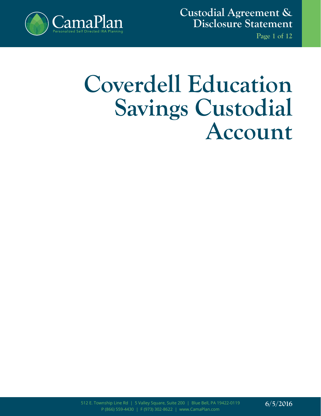

**Custodial Agreement & Disclosure Statement**

**Page 1 of 12**

# **Coverdell Education Savings Custodial Account**

512 E. Township Line Rd | 5 Valley Square, Suite 200 | Blue Bell, PA 19422-0119 P (866) 559-4430 | F (973) 302-8622 | www.CamaPlan.com

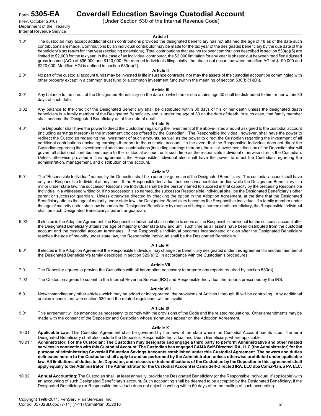Department of the Treasury Internal Revenue Service

# Form **5305-EA Coverdell Education Savings Custodial Account**

(Rev. October 2010) (Under Section 530 of the Internal Revenue Code)

#### **Article I**

1.01 The custodian may accept additional cash contributions provided the designated beneficiary has not attained the age of 18 as of the date such contributions are made. Contributions by an individual contributor may be made for the tax year of the designated beneficiary by the due date of the beneficiary's tax return for that year (excluding extensions). Total contributions that are not rollover contributions described in section 530(d)(5) are limited to \$2,000 for the tax year. In the case of an individual contributor, the \$2,000 limitation for any year is phased out between modified adjusted gross income (AGI) of \$95,000 and \$110,000. For married individuals filing jointly, the phase-out occurs between modified AGI of \$190,000 and \$220,000. Modified AGI is defined in section 530(c)(2).

#### **Article II**

2.01 No part of the custodial account funds may be invested in life insurance contracts, nor may the assets of the custodial account be commingled with other property except in a common trust fund or a common investment fund (within the meaning of section 530(b)(1)(D)).

### **Article III**

- 3.01 Any balance to the credit of the Designated Beneficiary on the date on which he or she attains age 30 shall be distributed to him or her within 30 days of such date.
- 3.02 Any balance to the credit of the Designated Beneficiary shall be distributed within 30 days of his or her death unless the designated death beneficiary is a family member of the Designated Beneficiary and is under the age of 30 on the date of death. In such case, that family member shall become the Designated Beneficiary as of the date of death.

#### **Article IV**

4.01 The Depositor shall have the power to direct the Custodian regarding the investment of the above-listed amount assigned to the custodial account (including earnings thereon) in the investment choices offered by the Custodian. The Responsible Individual, however, shall have the power to redirect the Custodian regarding the investment of such amounts, as well as the power to direct the Custodian regarding the investment of all additional contributions (including earnings thereon) to the custodial account. In the event that the Responsible Individual does not direct the Custodian regarding the investment of additional contributions (including earnings thereon), the initial investment direction of the Depositor also will govern all additional contributions made to the custodial account until such time as the responsible individual otherwise directs the Custodian. Unless otherwise provided in this agreement, the Responsible Individual also shall have the power to direct the Custodian regarding the administration, management, and distribution of the account.

#### **Article V**

- 5.01 The "Responsible Individual" named by the Depositor shall be a parent or guardian of the Designated Beneficiary. The custodial account shall have only one Responsible Individual at any time. If the Responsible Individual becomes incapacitated or dies while the Designated Beneficiary is a minor under state law, the successor Responsible Individual shall be the person named to succeed in that capacity by the preceding Responsible Individual in a witnessed writing or, if no successor is so named, the successor Responsible Individual shall be the Designated Beneficiary's other parent or successor guardian. Unless otherwise directed by checking the option in the Adoption Agreement, at the time that the Designated Beneficiary attains the age of majority under state law, the Designated Beneficiary becomes the Responsible Individual. If a family member under the age of majority under state law becomes the Designated Beneficiary by reason of being a named death beneficiary, the Responsible Individual shall be such Designated Beneficiary's parent or guardian.
- 5.02 If elected in the Adoption Agreement, the Responsible Individual shall continue to serve as the Responsible Individual for the custodial account after the Designated Beneficiary attains the age of majority under state law and until such time as all assets have been distributed from the custodial account and the custodial account terminates. If the Responsible Individual becomes incapacitated or dies after the Designated Beneficiary reaches the age of majority under state law, the Responsible Individual shall be the Designated Beneficiary.

# **Article VI**

6.01 If elected in the Adoption Agreement the Responsible Individual may change the beneficiary designated under this agreement to another member of the Designated Beneficiary's family described in section 529(e)(2) in accordance with the Custodian's procedures.

# **Article VII**

- 7.01 The Depositor agrees to provide the Custodian with all information necessary to prepare any reports required by section 530(h).
- 7.02 The Custodian agrees to submit to the Internal Revenue Service (IRS) and Responsible Individual the reports prescribed by the IRS.

#### **Article VIII**

8.01 Notwithstanding any other articles which may be added or incorporated, the provisions of Articles I through III will be controlling. Any additional articles inconsistent with section 530 and the related regulations will be invalid.

#### **Article IX**

9.01 This agreement will be amended as necessary to comply with the provisions of the Code and the related regulations. Other amendments may be made with the consent of the Depositor and Custodian whose signatures appear on the Adoption Agreement.

#### **Article X**

- 10.01 **Applicable Law**: This Custodial Agreement shall be governed by the laws of the state where the Custodial Account has its situs. The term Designated Beneficiary shall also include the Depositor, Responsible Individual and Death Beneficiary, where applicable.
- 10.01.1 **Administrator: For the Custodian: The Custodian may designate and engage a third party to perform Administrative and other related services in connection with this Custodial Account. The Custodian has engaged CAMA Self-Directed IRA, LLC (the Administrator) for the purpose of administering Coverdell Education Savings Accounts established under this Custodial Agreement. The powers and duties delineated herein to the Custodian shall apply to and be performed by the Administrator, unless otherwise prohibited under applicable law. All limitations of duties to the Depositor, and releases or indemnifications of the Custodian by the Depositor in this agreement shall apply equally to the Administrator. The Administrator for the Custodial Account is Cama Self-Directed IRA, LLC dba CamaPlan, a PA LLC.**
- 10.02 **Annual Accounting**: The Custodian shall, at least annually, provide the Designated Beneficiary (or the Responsible Individual, if applicable) with an accounting of such Designated Beneficiary's account. Such accounting shall be deemed to be accepted by the Designated Beneficiary, if the Designated Beneficiary (or Responsible Individual) does not object in writing within 60 days after the mailing of such accounting.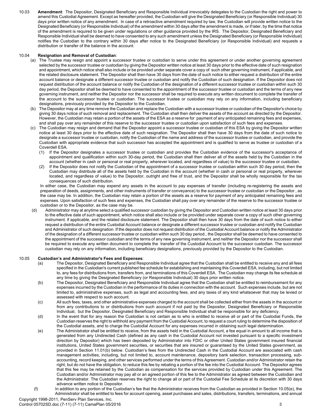10.03 **Amendment**: The Depositor, Designated Beneficiary and Responsible Individual irrevocably delegates to the Custodian the right and power to amend this Custodial Agreement. Except as hereafter provided, the Custodian will give the Designated Beneficiary (or Responsible Individual) 30 days prior written notice of any amendment. In case of a retroactive amendment required by law, the Custodian will provide written notice to the Designated Beneficiary (or Responsible Individual) of the amendment within 30 days after the amendment is made, or if later, by the time that notice of the amendment is required to be given under regulations or other guidance provided by the IRS. The Depositor, Designated Beneficiary and Responsible Individual shall be deemed to have consented to any such amendment unless the Designated Beneficiary (or Responsible Individual) notifies the Custodian to the contrary within 30 days after notice to the Designated Beneficiary (or Responsible Individual) and requests a distribution or transfer of the balance in the account.

# 10.04 **Resignation and Removal of Custodian**:

- (a) The Trustee may resign and appoint a successor trustee or custodian to serve under this agreement or under another governing agreement selected by the successor trustee or custodian by giving the Depositor written notice at least 30 days prior to the effective date of such resignation and appointment, which notice shall also include or be provided under separate cover a copy of such other governing instrument, if applicable, and the related disclosure statement. The Depositor shall then have 30 days from the date of such notice to either request a distribution of the entire account balance or designate a different successor trustee or custodian and notify the Custodian of such designation. If the Depositor does not request distribution of the account balance or notify the Custodian of the designation of a different successor trustee or custodian within such 30 day period, the Depositor shall be deemed to have consented to the appointment of the successor trustee or custodian and the terms of any new governing instrument, and neither the Depositor nor the successor shall be required to execute any written document to complete the transfer of the account to the successor trustee or custodian. The successor trustee or custodian may rely on any information, including beneficiary designations, previously provided by the Depositor to the Custodian.
- (b) The Depositor may at any time remove the Custodian and replace the Custodian with a successor trustee or custodian of the Depositor's choice by giving 30 days notice of such removal and replacement. The Custodian shall then deliver the assets of the account as directed by the Depositor. However, the Custodian may retain a portion of the assets of the ESA as a reserve for payment of any anticipated remaining fees and expenses, and shall pay over any remainder of this reserve to the successor trustee or custodian upon satisfaction of such fees and expenses.
- (c) The Custodian may resign and demand that the Depositor appoint a successor trustee or custodian of this ESA by giving the Depositor written notice at least 30 days prior to the effective date of such resignation. The Depositor shall then have 30 days from the date of such notice to designate a successor trustee or custodian, notify the Custodian of the name and address of the successor trustee or custodian, and provide the Custodian with appropriate evidence that such successor has accepted the appointment and is qualified to serve as trustee or custodian of a Coverdell ESA.
	- (1) If the Depositor designates a successor trustee or custodian and provides the Custodian evidence of the successor's acceptance of appointment and qualification within such 30-day period, the Custodian shall then deliver all of the assets held by the Custodian in the account (whether in cash or personal or real property, wherever located, and regardless of value) to the successor trustee or custodian.
	- (2) If the Depositor does not notify the Custodian of the appointment of a successor trustee or custodian within such 30 day period, then the Custodian may distribute all of the assets held by the Custodian in the account (whether in cash or personal or real property, wherever located, and regardless of value) to the Depositor, outright and free of trust, and the Depositor shall be wholly responsible for the tax consequences of such distribution.

In either case, the Custodian may expend any assets in the account to pay expenses of transfer (including re-registering the assets and preparation of deeds, assignments, and other instruments of transfer or conveyance) to the successor trustee or custodian or the Depositor , as the case may be. In addition, the Custodian may retain a portion of the assets as a reserve for payment of any anticipated remaining fees and expenses. Upon satisfaction of such fees and expenses, the Custodian shall pay over any remainder of the reserve to the successor trustee or custodian or to the Depositor, as the case may be.

(d) Administrator may at anytime select a qualified successor custodian by giving the Depositor and Custodian written notice at least 30 days prior to the effective date of such appointment, which notice shall also include or be provided under separate cover a copy of such other governing instrument. if applicable, and the related disclosure statement. The Depositor shall then have 30 days from the date of such notice to either request a distribution of the entire Custodial Account balance or designate a different successor trustee or custodian and notify the Custodian and Administrator of such designation. If the depositor does not request distribution of the Custodial Account balance or notify the Administrator of the designation of a different successor trustee or custodian within such 30 day period., the Depositor shall be deemed to have consented to the appointment of the successor custodian and the terms of any new governing instrument, and neither the Depositor nor the successor shall be required to execute any written document to complete the transfer of the Custodial Account to the successor custodian. The successor custodian may rely on any information, including beneficiary designations, previously provided by the Depositor to the Custodian.

# 10.05 **Custodian's and Administrator's Fees and Expenses**:

- (a) The Depositor, Designated Beneficiary and Responsible Individual agree that the Custodian shall be entitled to receive any and all fees specified in the Custodian's current published fee schedule for establishing and maintaining this Coverdell ESA, including, but not limited to, any fees for distributions from, transfers from, and terminations of this Coverdell ESA. The Custodian may change its fee schedule at any time by giving the Designated Beneficiary (or Responsible Individual) 30 days prior written notice.
- (b) The Depositor, Designated Beneficiary and Responsible Individual agree that the Custodian shall be entitled to reimbursement for any expenses incurred by the Custodian in the performance of its duties in connection with the account. Such expenses include, but are not limited to, administrative expenses, such as legal and accounting fees, and any taxes of any kind whatsoever that may be levied or assessed with respect to such account.
- (c) All such fees, taxes, and other administrative expenses charged to the account shall be collected either from the assets in the account or from any contributions to or distributions from such account if not paid by the Depositor, Designated Beneficiary or Responsible Individual, but the Depositor, Designated Beneficiary and Responsible Individual shall be responsible for any deficiency.
- (d) In the event that for any reason the Custodian is not certain as to who is entitled to receive all or part of the Custodial Funds, the Custodian reserves the right to withhold any payment from the Custodial Account, to request a court ruling to determine the disposition of the Custodial assets, and to charge the Custodial Account for any expenses incurred in obtaining such legal determination.
- (e) The Administrator shall be entitled to receive, from the assets held in the Custodial Account, a fee equal in amount to all income that is generated from any Undirected Cash (defined as any cash in the Custodial Account not invested pursuant to a specific investment direction by Depositor) which has been deposited by Administrator into FDIC or other United States government insured financial institutions, United States government securities, or securities that are insured or guaranteed by the United States government, as provided in Section 11.01(b) below. Custodian's fees from the Undirected Cash in the Custodial Account are associated with cash management activities, including, but not limited to, account maintenance, depository bank selection, transaction processing, subaccounting, record keeping, and other services performed under the terms of this Agreement. Custodian and/or Administrator retain the right, but do not have the obligation, to reduce this fee by rebating a portion of the fee into the Custodial Account. The Depositor agrees that this fee may be retained by the Custodian as compensation for the services provided by Custodian under this Agreement. The Custodian and/or Administrator may pay all or an agreed portion of this fee to the Administrator as agreed between the Custodian and the Administrator. The Custodian reserves the right to change all or part of the Custodial Fee Schedule at its discretion with 30 days advance written notice to Depositor.
- (f) In addition to any portion of the Custodian's fee that the Administrator receives from the Custodian as provided in Section 10.05(e), the Administrator shall be entitled to fees for account opening, asset purchases and sales, distributions, transfers, terminations, and annual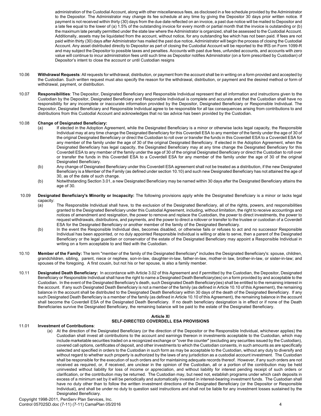administration of the Custodial Account, along with other miscellaneous fees, as disclosed in a fee schedule provided by the Administrator to the Depositor. The Administrator may change its fee schedule at any time by giving the Depositor 30 days prior written notice. If payment is not received within thirty (30) days from the due date reflected on an invoice, a past due notice will be mailed to Depositor and a late fee equal to the lower of (a) 1.5% of the outstanding invoice for every month or partial month that the invoice is outstanding or (b) the maximum late penalty permitted under the state law where the Administrator is organized, shall be assessed to the Custodial Account. Additionally, assets may be liquidated from the account, without notice, for any outstanding fee which has not been paid. If fees are not paid within thirty (30) days after Administrator has mailed the past due notice, Administrator will begin the process of closing the Custodial Account. Any asset distributed directly to Depositor as part of closing the Custodial Account will be reported to the IRS on Form 1099-R and may subject the Depositor to possible taxes and penalties. Accounts with past due fees, unfunded accounts, and accounts with zero value will continue to incur administration fees until such time as Depositor notifies Administrator (on a form prescribed by Custodian) of Depositor's intent to close the account or until Custodian resigns

- 10.06 **Withdrawal Requests**: All requests for withdrawal, distribution, or payment from the account shall be in writing on a form provided and accepted by the Custodian. Such written request must also specify the reason for the withdrawal, distribution, or payment and the desired method or form of withdrawal, payment, or distribution.
- 10.07 **Responsibilities**: The Depositor, Designated Beneficiary and Responsible Individual represent that all information and instructions given to the Custodian by the Depositor, Designated Beneficiary and Responsible Individual is complete and accurate and that the Custodian shall have no responsibility for any incomplete or inaccurate information provided by the Depositor, Designated Beneficiary or Responsible Individual. The Depositor, Designated Beneficiary and Responsible Individual agree to be responsible for all tax consequences arising from contributions to and distributions from this Custodial Account and acknowledges that no tax advice has been provided by the Custodian.

# 10.08 **Change of Designated Beneficiary:**

- (a) If elected in the Adoption Agreement, while the Designated Beneficiary is a minor or otherwise lacks legal capacity, the Responsible Individual may at any time change the Designated Beneficiary for this Coverdell ESA to any member of the family under the age of 30 of the original Designated Beneficiary or direct the Custodian to roll over or transfer the funds in this Coverdell ESA to a Coverdell ESA for any member of the family under the age of 30 of the original Designated Beneficiary. If elected in the Adoption Agreement, when the Designated Beneficiary has legal capacity, the Designated Beneficiary may at any time change the Designated Beneficiary for this Coverdell ESA to any member of the family under the age of 30 of the original Designated Beneficiary or direct the Custodian to roll over or transfer the funds in this Coverdell ESA to a Coverdell ESA for any member of the family under the age of 30 of the original Designated Beneficiary.
- (b) Any change of Designated Beneficiary under this Coverdell ESA agreement shall not be treated as a distribution, if the new Designated Beneficiary is a Member of the Family (as defined under section 10.10) and such new Designated Beneficiary has not attained the age of 30, as of the date of such change.
- (b) Notwithstanding Section 3.01, a new Designated Beneficiary may be named within 30 days after the Designated Beneficiary attains the age of 30.
- 10.09 **Designated Beneficiary's Minority or Incapacity:** The following provisions apply while the Designated Beneficiary is a minor or lacks legal capacity:
	- (a) The Responsible Individual shall have, to the exclusion of the Designated Beneficiary, all of the rights, powers, and responsibilities granted to the Designated Beneficiary under this Custodial Agreement, including, without limitation, the right to receive accountings and notices of amendment and resignation, the power to remove and replace the Custodian, the power to direct investments, the power to request withdrawals, distributions, and payments, and the power to direct a rollover or transfer to the trustee or custodian of a Coverdell ESA for the Designated Beneficiary or another member of the family of the Designated Beneficiary.
	- (b) In the event the Responsible Individual dies, becomes disabled, or otherwise fails or refuses to act and no successor Responsible Individual has been appointed, or no duly appointed Responsible Individual is willing or able to serve, then a parent of the Designated Beneficiary or the legal guardian or conservator of the estate of the Designated Beneficiary may appoint a Responsible Individual in writing on a form acceptable to and filed with the Custodian.
- 10.10 **Member of the Family:** The term "member of the family of the Designated Beneficiary" includes the Designated Beneficiary's: spouse, children, grandchildren, sibling, parent, niece or nephew, son-in-law, daughter-in-law, father-in-law, mother-in law, brother-in-law, or sister-in-law; and spouses of the foregoing. A first cousin, but not his or her spouse, is also a family member.
- 10.11 **Designated Death Beneficiary:** In accordance with Article 3.02 of this Agreement and if permitted by the Custodian, the Depositor, Designated Beneficiary or Responsible Individual shall have the right to name a Designated Death Beneficiary(ies) on a form provided by and acceptable to the Custodian. In the event of the Designated Beneficiary's death, such Designated Death Beneficiary(ies) shall be entitled to the remaining interest in the account. If any such Designated Death Beneficiary is not a member of the family (as defined in Article 10.10 of this Agreement), the remaining balance in the account shall be distributed to the Designated Death Beneficiary within 30 days of the death of the Designated Beneficiary. If any such Designated Death Beneficiary is a member of the family (as defined in Article 10.10 of this Agreement), the remaining balance in the account shall become the Coverdell ESA of the Designated Death Beneficiary. If no death beneficiary designation is in effect or if none of the Death Beneficiaries survive the Designated Beneficiary, the remaining balance will be paid to the estate of the Designated Beneficiary.

# **Article XI SELF-DIRECTED COVERDELL ESA PROVISIONS**

#### 11.01 **Investment of Contributions**:

(a) At the direction of the Designated Beneficiary (or the direction of the Depositor or the Responsible Individual, whichever applies) the Custodian shall invest all contributions to the account and earnings thereon in investments acceptable to the Custodian, which may include marketable securities traded on a recognized exchange or "over the counter" (excluding any securities issued by the Custodian), covered call options, certificates of deposit, and other investments to which the Custodian consents, in such amounts as are specifically selected and specified in orders to the Custodian in such form as may be acceptable to the Custodian, without any duty to diversify and without regard to whether such property is authorized by the laws of any jurisdiction as a custodial account investment. The Custodian shall be responsible for the execution of such orders and for maintaining adequate records thereof. However, if any such orders are not received as required, or, if received, are unclear in the opinion of the Custodian, all or a portion of the contribution may be held uninvested without liability for loss of income or appreciation, and without liability for interest pending receipt of such orders or clarification, or the contribution may be returned. The Custodian may, but need not, establish programs under which cash deposits in excess of a minimum set by it will be periodically and automatically invested in interest-bearing investment funds. The Custodian shall have no duty other than to follow the written investment directions of the Designated Beneficiary (or the Depositor or Responsible Individual), and shall be under no duty to question said instructions and shall not be liable for any investment losses sustained by the Designated Beneficiary.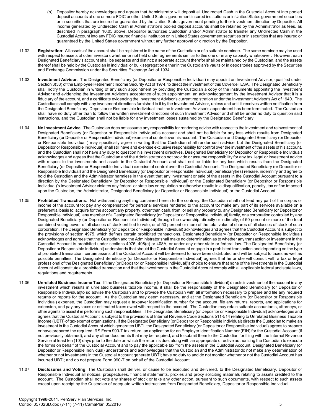- (b) Depositor hereby acknowledges and agrees that Administrator will deposit all Undirected Cash in the Custodial Account into pooled deposit accounts at one or more FDIC or other United States government insured institutions or in United States government securities or in securities that are insured or guaranteed by the United States government pending further investment direction by Depositor. All income generated by Undirected Cash in Administrator's pooled deposit accounts shall be retained by the Administrator as fees, as described in paragraph 10.05 above. Depositor authorizes Custodian and/or Administrator to transfer any Undirected Cash in the Custodial Account into any FDIC insured financial institution or in United States government securities or in securities that are insured or guaranteed by the United States government without any further approval or direction by the Depositor.
- 11.02 **Registration**: All assets of the account shall be registered in the name of the Custodian or of a suitable nominee. The same nominee may be used with respect to assets of other investors whether or not held under agreements similar to this one or in any capacity whatsoever. However, each Designated Beneficiary's account shall be separate and distinct; a separate account therefor shall be maintained by the Custodian, and the assets thereof shall be held by the Custodian in individual or bulk segregation either in the Custodian's vaults or in depositories approved by the Securities and Exchange Commission under the Securities Exchange Act of 1934.
- 11.03 **Investment Advisor**: The Designated Beneficiary (or Depositor or Responsible Individual) may appoint an Investment Advisor, qualified under Section 3(38) of the Employee Retirement Income Security Act of 1974, to direct the investment of this Coverdell ESA. The Designated Beneficiary shall notify the Custodian in writing of any such appointment by providing the Custodian a copy of the instruments appointing the Investment Advisor and evidencing the Investment Advisor's acceptance of such appointment, an acknowledgement by the Investment Advisor that it is a fiduciary of the account, and a certificate evidencing the Investment Advisor's current registration under the Investment Advisor's Act of 1940. The Custodian shall comply with any investment directions furnished to it by the Investment Advisor, unless and until it receives written notification from the Designated Beneficiary, Depositor or Responsible Individual that the Investment Advisor's appointment has been terminated. The Custodian shall have no duty other than to follow the written investment directions of such Investment Advisor and shall be under no duty to question said instructions, and the Custodian shall not be liable for any investment losses sustained by the Designated Beneficiary.
- 11.04 **No Investment Advice**: The Custodian does not assume any responsibility for rendering advice with respect to the investment and reinvestment of Designated Beneficiary (or Depositor or Responsible Individual)'s account and shall not be liable for any loss which results from Designated Beneficiary (or Depositor or Responsible Individual) exercise of control over his account. The Custodian and Designated Beneficiary (or Depositor or Responsible Individual ) may specifically agree in writing that the Custodian shall render such advice, but the Designated Beneficiary (or Depositor or Responsible Individual) shall still have and exercise exclusive responsibility for control over the investment of the assets of his account, and the Custodian shall not have any duty to question his investment directives. Designated Beneficiary (or Depositor or Responsible Individual) acknowledges and agrees that the Custodian and the Administrator do not provide or assume responsibility for any tax, legal or investment advice with respect to the investments and assets in the Custodial Account and shall not be liable for any loss which results from the Designated Beneficiary (or Depositor or Responsible Individual) exercise of control over the Custodial Account. The Designated Beneficiary (or Depositor or Responsible Individual) and the Designated Beneficiary (or Depositor or Responsible Individual) beneficiary(ies) release, indemnify and agree to hold the Custodian and the Administrator harmless in the event that any investment or sale of the assets in the Custodial Account pursuant to a direction by the Designated Beneficiary (or Depositor or Responsible Individual) or the Designated Beneficiary (or Depositor or Responsible Individual)'s Investment Advisor violates any federal or state law or regulation or otherwise results in a disqualification, penalty, tax or fine imposed upon the Custodian, the Administrator, Designated Beneficiary (or Depositor or Responsible Individual) or the Custodial Account.
- 11.05 **Prohibited Transactions**: Not withstanding anything contained herein to the contrary, the Custodian shall not lend any part of the corpus or income of the account to; pay any compensation for personal services rendered to the account to; make any part of its services available on a preferential basis to; acquire for the account any property, other than cash, from; or sell any property to, any Designated Beneficiary (or Depositor or Responsible Individual), any member of a Designated Beneficiary (or Depositor or Responsible Individual) family, or a corporation controlled by any Designated Beneficiary (or Depositor or Responsible Individual) through the ownership, directly or indirectly, of 50 percent or more of the total combined voting power of all classes of stock entitled to vote, or of 50 percent or more of the total value of shares of all classes of stock of such corporation. The Designated Beneficiary (or Depositor or Responsible Individual) acknowledges and agrees that the Custodial Account is subject to the provisions of section 4975, which defines certain prohibited transactions. Designated Beneficiary (or Depositor or Responsible Individual) acknowledges and agrees that the Custodian and the Administrator shall make no determination as to whether any transaction or investment in the Custodial Account is prohibited under sections 4975, 408(e) or 408A, or under any other state or federal law. The Designated Beneficiary (or Depositor or Responsible Individual) understands that should the Custodial Account engage in a prohibited transaction and depending on the type of prohibited transaction, certain assets of the Custodial Account will be deemed to have been distributed and will be subject to taxes as well as possible penalties. The Designated Beneficiary (or Depositor or Responsible Individual) agrees that he or she will consult with a tax or legal professional of the Designated Beneficiary (or Depositor or Responsible Individual)'s choice to ensure that none of the investments in the Custodial Account will constitute a prohibited transaction and that the investments in the Custodial Account comply with all applicable federal and state laws, regulations and requirements.
- 11.06 **Unrelated Business Income Tax**: If the Designated Beneficiary (or Depositor or Responsible Individual) directs investment of the account in any investment which results in unrelated business taxable income, it shall be the responsibility of the Designated Beneficiary (or Depositor or Responsible Individual)to so advise the Custodian and to provide the Custodian with all information necessary to prepare and file any required returns or reports for the account. As the Custodian may deem necessary, and at the Designated Beneficiary (or Depositor or Responsible Individual) expense, the Custodian may request a taxpayer identification number for the account, file any returns, reports, and applications for extension, and pay any taxes or estimated taxes owed with respect to the account. The Custodian may retain suitable accountants, attorneys, or other agents to assist it in performing such responsibilities. .The Designated Beneficiary (or Depositor or Responsible Individual) acknowledges and agrees that the Custodial Account is subject to the provisions of Internal Revenue Code Sections 511-514 relating to Unrelated Business Taxable Income (UBTI) of tax-exempt organizations. If the Designated Beneficiary (or Depositor or Responsible Individual) directs the Custodian to make an investment in the Custodial Account which generates UBTI, the Designated Beneficiary (or Depositor or Responsible Individual) agrees to prepare or have prepared the required IRS Form 990-T tax return, an application for an Employer Identification Number (EIN) for the Custodial Account (if not previously obtained), and any other documents that may be required, and to submit them to the Custodian for filing with the Internal Revenue Service at least ten (10) days prior to the date on which the return is due, along with an appropriate directive authorizing the Custodian to execute the forms on behalf of the Custodial Account and to pay the applicable tax from the assets in the Custodial Account. Designated Beneficiary (or Depositor or Responsible Individual) understands and acknowledges that the Custodian and the Administrator do not make any determination of whether or not investments in the Custodial Account generate UBTI; have no duty to and do not monitor whether or not the Custodial Account has incurred UBTI; and do not prepare Form 990-T on behalf of the Custodial Account
- 11.07 **Disclosures and Voting**: The Custodian shall deliver, or cause to be executed and delivered, to the Designated Beneficiary, Depositor or Responsible Individual all notices, prospectuses, financial statements, proxies and proxy soliciting materials relating to assets credited to the account. The Custodian shall not vote any shares of stock or take any other action, pursuant to such documents, with respect to such assets except upon receipt by the Custodian of adequate written instructions from Designated Beneficiary, Depositor or Responsible Individual.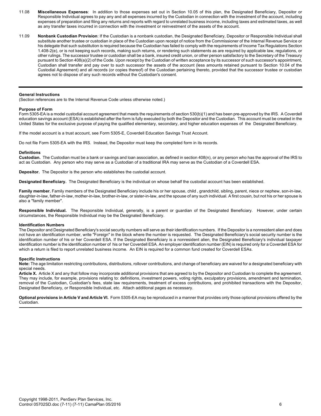- 11.08 **Miscellaneous Expenses**: In addition to those expenses set out in Section 10.05 of this plan, the Designated Beneficiary, Depositor or Responsible Individual agrees to pay any and all expenses incurred by the Custodian in connection with the investment of the account, including expenses of preparation and filing any returns and reports with regard to unrelated business income, including taxes and estimated taxes, as well as any transfer taxes incurred in connection with the investment or reinvestment of the assets of the account.
- 11.09 **Nonbank Custodian Provision**: If the Custodian is a nonbank custodian, the Designated Beneficiary, Depositor or Responsible Individual shall substitute another trustee or custodian in place of the Custodian upon receipt of notice from the Commissioner of the Internal Revenue Service or his delegate that such substitution is required because the Custodian has failed to comply with the requirements of Income Tax Regulations Section 1.408-2(e), or is not keeping such records, making such returns, or rendering such statements as are required by applicable law, regulations, or other rulings. The successor trustee or custodian shall be a bank, insured credit union, or other person satisfactory to the Secretary of the Treasury pursuant to Section 408(a)(2) of the Code. Upon receipt by the Custodian of written acceptance by its successor of such successor's appointment, Custodian shall transfer and pay over to such successor the assets of the account (less amounts retained pursuant to Section 10.04 of the Custodial Agreement) and all records (or copies thereof) of the Custodian pertaining thereto, provided that the successor trustee or custodian agrees not to dispose of any such records without the Custodian's consent.

# **General Instructions**

(Section references are to the Internal Revenue Code unless otherwise noted.)

#### **Purpose of Form**

Form 5305-EA is a model custodial account agreement that meets the requirements of section 530(b)(1) and has been pre-approved by the IRS. A Coverdell education savings account (ESA) is established after the form is fully executed by both the Depositor and the Custodian. This account must be created in the United States for the exclusive purpose of paying the qualified elementary, secondary, and higher education expenses of the Designated Beneficiary.

If the model account is a trust account, see Form 5305-E, Coverdell Education Savings Trust Account.

Do not file Form 5305-EA with the IRS. Instead, the Depositor must keep the completed form in its records.

#### **Definitions**

**Custodian.** The Custodian must be a bank or savings and loan association, as defined in section 408(n), or any person who has the approval of the IRS to act as Custodian. Any person who may serve as a Custodian of a traditional IRA may serve as the Custodian of a Coverdell ESA.

**Depositor.** The Depositor is the person who establishes the custodial account.

**Designated Beneficiary.** The Designated Beneficiary is the individual on whose behalf the custodial account has been established.

Family member. Family members of the Designated Beneficiary include his or her spouse, child, grandchild, sibling, parent, niece or nephew, son-in-law, daughter-in-law, father-in-law, mother-in-law, brother-in-law, or sister-in-law, and the spouse of any such individual. A first cousin, but not his or her spouse is also a "family member".

**Responsible Individual.** The Responsible Individual, generally, is a parent or guardian of the Designated Beneficiary. However, under certain circumstances, the Responsible Individual may be the Designated Beneficiary.

#### **Identification Numbers**

The Depositor and Designated Beneficiary's social security numbers will serve as their identification numbers. If the Depositor is a nonresident alien and does not have an identification number, write "Foreign" in the block where the number is requested. The Designated Beneficiary's social security number is the identification number of his or her Coverdell ESA. If the Designated Beneficiary is a nonresident alien, the Designated Beneficiary's individual taxpayer identification number is the identification number of his or her Coverdell ESA. An employer identification number (EIN) is required only for a Coverdell ESA for which a return is filed to report unrelated business income. An EIN is required for a common fund created for Coverdell ESAs.

#### **Specific Instructions**

**Note:** The age limitation restricting contributions, distributions, rollover contributions, and change of beneficiary are waived for a designated beneficiary with special needs.

Article X. Article X and any that follow may incorporate additional provisions that are agreed to by the Depositor and Custodian to complete the agreement. They may include, for example, provisions relating to: definitions, investment powers, voting rights, exculpatory provisions, amendment and termination, removal of the Custodian, Custodian's fees, state law requirements, treatment of excess contributions, and prohibited transactions with the Depositor, Designated Beneficiary, or Responsible Individual, etc. Attach additional pages as necessary.

**Optional provisions in Article V and Article VI.** Form 5305-EA may be reproduced in a manner that provides only those optional provisions offered by the Custodian.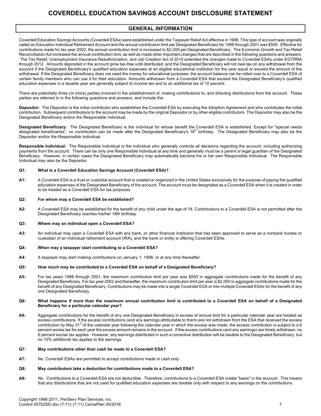# **GENERAL INFORMATION**

Coverdell Education Savings Accounts (Coverdell ESAs) were established under the Taxpayer Relief Act effective in 1998. This type of account was originally called an Education Individual Retirement Account and the annual contribution limit per Designated Beneficiary for 1998 through 2001 was \$500. Effective for contributions made for tax year 2002, the annual contribution limit is increased to \$2,000 per Designated Beneficiary. The Economic Growth and Tax Relief Reconciliation Act increased the annual contribution limit, as well as made other important changes that are described in the following questions and answers. The Tax Relief, Unemployment Insurance Reauthorization, and Job Creation Act of 2010 extended the changes made to Coverdell ESAs under EGTRRA through 2012. Amounts deposited in the account grow tax-free until distributed, and the Designated Beneficiary will not owe tax on any withdrawal from the account if the Designated Beneficiary's qualified education expenses at an eligible educational institution for the year equal or exceed the amount of the withdrawal. If the Designated Beneficiary does not need the money for educational purposes, the account balance can be rolled over to a Coverdell ESA of certain family members who can use it for their education. Amounts withdrawn from a Coverdell ESA that exceed the Designated Beneficiary's qualified education expenses in a taxable year are generally subject to income tax and to an additional tax of 10 percent.

There are potentially three (or more) parties involved in the establishment of, making contributions to, and directing distributions from the account. These parties are referred to in the following questions and answers, and include the:

**Depositor:** The Depositor is the initial contributor who establishes the Coverdell ESA by executing the Adoption Agreement and who contributes the initial contribution. Subsequent contributions to the account may be made by the original Depositor or by other eligible contributors. The Depositor may also be the Designated Beneficiary and/or the Responsible Individual.

**Designated Beneficiary:** The Designated Beneficiary is the individual for whose benefit the Coverdell ESA is established. Except for "special needs designated beneficiaries", no contribution can be made after the Designated Beneficiary's 18<sup>th</sup> birthday. The Designated Beneficiary may also be the Depositor and/or the Responsible Individual.

**Responsible Individual:** The Responsible Individual is the individual who generally controls all decisions regarding the account, including authorizing payments from the account. There can be only one Responsible Individual at any time and generally must be a parent or legal guardian of the Designated Beneficiary. However, in certain cases the Designated Beneficiary may automatically become his or her own Responsible Individual. The Responsible Individual may also be the Depositor.

# **Q1: What is a Coverdell Education Savings Account (Coverdell ESA)?**

**A1:** A Coverdell ESA is a trust or custodial account that is created or organized in the United States exclusively for the purpose of paying the qualified education expenses of the Designated Beneficiary of the account. The account must be designated as a Coverdell ESA when it is created in order to be treated as a Coverdell ESA for tax purposes.

# **Q2: For whom may a Coverdell ESA be established?**

**A2:** A Coverdell ESA may be established for the benefit of any child under the age of 18. Contributions to a Coverdell ESA is not permitted after the Designated Beneficiary reaches his/her 18th birthday.

# **Q3: Where may an individual open a Coverdell ESA?**

**A3:** An individual may open a Coverdell ESA with any bank, or other financial institution that has been approved to serve as a nonbank trustee or custodian of an individual retirement account (IRA), and the bank or entity is offering Coverdell ESAs.

# **Q4: When may a taxpayer start contributing to a Coverdell ESA?**

**A4:** A taxpayer may start making contributions on January 1, 1998, or at any time thereafter.

#### **Q5: How much may be contributed to a Coverdell ESA on behalf of a Designated Beneficiary?**

**A5:** For tax years 1998 through 2001, the maximum contribution limit per year was \$500 in aggregate contributions made for the benefit of any Designated Beneficiary. For tax year 2002 and thereafter, the maximum contribution limit per year is \$2,000 in aggregate contributions made for the benefit of any Designated Beneficiary. Contributions may be made into a single Coverdell ESA or into multiple Coverdell ESAs for the benefit of any one Designated Beneficiary.

#### **Q6: What happens if more than the maximum annual contribution limit is contributed to a Coverdell ESA on behalf of a Designated Beneficiary for a particular calendar year?**

**A6:** Aggregate contributions for the benefit of any one Designated Beneficiary in excess of annual limit for a particular calendar year are treated as excess contributions. If the excess contributions (and any earnings attributable to them) are not withdrawn from the ESA that received the excess contribution by May 31<sup>st</sup> of the calendar year following the calendar year in which the excess was made, the excess contribution is subject to a 6 percent excise tax for each year the excess amount remains in the account. If the excess contributions (and any earnings) are timely withdrawn, no 6 percent excise tax applies. However, any earnings distributed in such a corrective distribution will be taxable to the Designated Beneficiary, but no 10% additional tax applies to the earnings.

#### **Q7: May contributions other than cash be made to a Coverdell ESA?**

**A7:** No. Coverdell ESAs are permitted to accept contributions made in cash only.

#### **Q8: May contributors take a deduction for contributions made to a Coverdell ESA?**

**A8:** No. Contributions to a Coverdell ESA are not deductible. Therefore, contributions to a Coverdell ESA create "basis" in the account. This means that any distributions that are not used for qualified education expenses are taxable only with respect to any earnings on the contributions.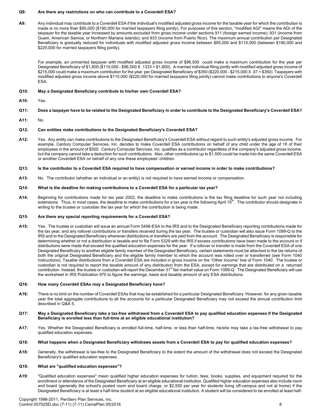#### **Q9: Are there any restrictions on who can contribute to a Coverdell ESA?**

**A9:** Any individual may contribute to a Coverdell ESA if the individual's modified adjusted gross income for the taxable year for which the contribution is made is no more than \$95,000 (\$190,000 for married taxpayers filing jointly). For purposes of this section, "modified AGI" means the AGI of the taxpayer for the taxable year increased by amounts excluded from gross income under sections 911 (foreign earned income); 931 (income from Guam, American Samoa, or Northern Mariana Islands); and 933 (income from Puerto Rico). The maximum annual contribution per Designated Beneficiary is gradually reduced for individuals with modified adjusted gross income between \$95,000 and \$110,000 (between \$190,000 and \$220,000 for married taxpayers filing jointly).

For example, an unmarried taxpayer with modified adjusted gross income of \$96,500 could make a maximum contribution for the year per Designated Beneficiary of \$1,800 (\$110,000 - \$96,500 X .1333 = \$1,800). A married individual filing jointly with modified adjusted gross income of \$215,000 could make a maximum contribution for the year per Designated Beneficiary of \$350 (\$220,000 - \$215,000 X .07 = \$350). Taxpayers with modified adjusted gross income above \$110,000 (\$220,000 for married taxpayers filing jointly) cannot make contributions to anyone's Coverdell ESA.

# **Q10: May a Designated Beneficiary contribute to his/her own Coverdell ESA?**

**A10:** Yes.

# **Q11: Does a taxpayer have to be related to the Designated Beneficiary in order to contribute to the Designated Beneficiary's Coverdell ESA?**

**A11:** No.

#### **Q12: Can entities make contributions to the Designated Beneficiary's Coverdell ESA?**

**A12:** Yes. Any entity can make contributions to the Designated Beneficiary's Coverdell ESA without regard to such entity's adjusted gross income. For example, Century Computer Services, Inc. decides to make Coverdell ESA contributions on behalf of any child under the age of 18 of their employees in the amount of \$500. Century Computer Services, Inc. qualifies as a contributor regardless of the company's adjusted gross income, but the company cannot take a deduction for such contributions. Also, other contributions up to \$1,500 could be made into the same Coverdell ESA or another Coverdell ESA on behalf of any one these employees' children.

#### **Q13: Is the contributor to a Coverdell ESA required to have compensation or earned income in order to make contributions?**

**A13:** No. The contributor (whether an individual or an entity) is not required to have earned income or compensation.

#### **Q14: What is the deadline for making contributions to a Coverdell ESA for a particular tax year?**

**A14:** Beginning for contributions made for tax year 2002, the deadline to make contributions is the tax filing deadline for such year not including extensions. Thus, in most cases, the deadline to make contributions for a tax year is the following April 15<sup>th</sup>. The contributor should designate in writing to the trustee or custodian the tax year for which the contribution is being made.

# **Q15: Are there any special reporting requirements for a Coverdell ESA?**

**A15:** Yes. The trustee or custodian will issue an annual Form 5498-ESA to the IRS and to the Designated Beneficiary reporting contributions made for the tax year, and any rollover contributions or transfers received during the tax year. The trustee or custodian will also issue Form 1099-Q to the IRS and to the Designated Beneficiary whenever distributions or transfers are paid from the account. The Designated Beneficiary is responsible for determining whether or not a distribution is taxable and to file Form 5329 with the IRS if excess contributions have been made to the account or if distributions were made that exceed the qualified education expenses for the year. If a rollover or transfer is made from the Coverdell ESA of one Designated Beneficiary to another eligible family member of the Designated Beneficiary, certain statements must be attached to the tax returns of both the original Designated Beneficiary and the eligible family member to which the account was rolled over or transferred (see Form 1040 instructions). Taxable distributions from a Coverdell ESA are included in gross income on the "Other Income" line of Form 1040. The trustee or custodian is not required to report the taxable amount of any distribution from the ESA, except for earnings that are distributed on a returned contribution. Instead, the trustee or custodian will report the December 31<sup>st</sup> fair market value on Form 1099-Q. The Designated Beneficiary will use the worksheet in IRS Publication 970 to figure the earnings, basis and taxable amount of any ESA distributions.

# **Q16: How many Coverdell ESAs may a Designated Beneficiary have?**

- **A16:** There is no limit on the number of Coverdell ESAs that may be established for a particular Designated Beneficiary. However, for any given taxable year the total aggregate contributions to all the accounts for a particular Designated Beneficiary may not exceed the annual contribution limit described in Q&A 5.
- **Q17: May a Designated Beneficiary take a tax-free withdrawal from a Coverdell ESA to pay qualified education expenses if the Designated Beneficiary is enrolled less than full-time at an eligible educational institution?**
- **A17:** Yes. Whether the Designated Beneficiary is enrolled full-time, half-time, or less than half-time, he/she may take a tax-free withdrawal to pay qualified education expenses.

#### **Q18: What happens when a Designated Beneficiary withdraws assets from a Coverdell ESA to pay for qualified education expenses?**

**A18:** Generally, the withdrawal is tax-free to the Designated Beneficiary to the extent the amount of the withdrawal does not exceed the Designated Beneficiary's qualified education expenses.

# **Q19: What are "qualified education expenses"?**

**A19:** "Qualified education expenses" mean qualified higher education expenses for tuition, fees, books, supplies, and equipment required for the enrollment or attendance of the Designated Beneficiary at an eligible educational institution. Qualified higher education expenses also include room and board (generally the school's posted room and board charge, or \$2,500 per year for students living off-campus and not at home) if the Designated Beneficiary is at least a half-time student at an eligible educational institution. A student will be considered to be enrolled at least half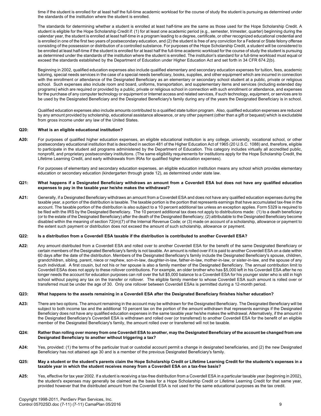time if the student is enrolled for at least half the full-time academic workload for the course of study the student is pursuing as determined under the standards of the institution where the student is enrolled.

The standards for determining whether a student is enrolled at least half-time are the same as those used for the Hope Scholarship Credit. A student is eligible for the Hope Scholarship Credit if: (1) for at least one academic period (e.g., semester, trimester, quarter) beginning during the calendar year, the student is enrolled at least half-time in a program leading to a degree, certificate, or other recognized educational credential and is enrolled in one of the first two years of postsecondary education, and (2) the student is free of any conviction for a Federal or State felony offense consisting of the possession or distribution of a controlled substance. For purposes of the Hope Scholarship Credit, a student will be considered to be enrolled at least half-time if the student is enrolled for at least half the full-time academic workload for the course of study the student is pursuing as determined under the standards of the institution where the student is enrolled. The institution's standard for a full-time workload must equal or exceed the standards established by the Department of Education under Higher Education Act and set forth in 34 CFR 674.2(b).

Beginning in 2002, qualified education expenses also include qualified elementary and secondary education expenses for tuition, fees, academic tutoring, special needs services in the case of a special needs beneficiary, books, supplies, and other equipment which are incurred in connection with the enrollment or attendance of the Designated Beneficiary as an elementary or secondary school student at a public, private or religious school. Such expenses also include room and board, uniforms, transportation, and supplementary items and services (including extended day programs) which are required or provided by a public, private or religious school in connection with such enrollment or attendance, and expenses for the purchase of any computer technology or equipment or Internet access and related services, if such technology, equipment, or services are to be used by the Designated Beneficiary and the Designated Beneficiary's family during any of the years the Designated Beneficiary is in school.

Qualified education expenses also include amounts contributed to a qualified state tuition program. Also, qualified education expenses are reduced by any amount provided by scholarship, educational assistance allowance, or any other payment (other than a gift or bequest) which is excludable from gross income under any law of the United States.

#### **Q20: What is an eligible educational institution?**

**A20:** For purposes of qualified higher education expenses, an eligible educational institution is any college, university, vocational school, or other postsecondary educational institution that is described in section 481 of the Higher Education Act of 1965 (20 U.S.C. 1088) and, therefore, eligible to participate in the student aid programs administered by the Department of Education. This category includes virtually all accredited public, nonprofit, and proprietary postsecondary institutions. (The same eligibility requirements for institutions apply for the Hope Scholarship Credit, the Lifetime Learning Credit, and early withdrawals from IRAs for qualified higher education expenses).

For purposes of elementary and secondary education expenses, an eligible education institution means any school which provides elementary education or secondary education (kindergarten through grade 12), as determined under state law.

#### **Q21: What happens if a Designated Beneficiary withdraws an amount from a Coverdell ESA but does not have any qualified education expenses to pay in the taxable year he/she makes the withdrawal?**

**A21:** Generally, if a Designated Beneficiary withdraws an amount from a Coverdell ESA and does not have any qualified education expenses during the taxable year, a portion of the distribution is taxable. The taxable portion is the portion that represents earnings that have accumulated tax-free in the account. The taxable portion of the distribution is also subject to a 10 percent additional tax unless an exception applies. Form 5329 is required to be filed with the IRS by the Designated Beneficiary. The 10 percent additional tax does not apply to distributions made: (1) to a death beneficiary (or to the estate of the Designated Beneficiary) after the death of the Designated Beneficiary; (2) attributable to the Designated Beneficiary become disabled within the meaning of section 72(m)(7) of the Internal Revenue Code; or (3) made on account of a scholarship, allowance or payment to the extent such payment or distribution does not exceed the amount of such scholarship, allowance or payment.

#### **Q22: Is a distribution from a Coverdell ESA taxable if the distribution is contributed to another Coverdell ESA?**

**A22:** Any amount distributed from a Coverdell ESA and rolled over to another Coverdell ESA for the benefit of the same Designated Beneficiary or certain members of the Designated Beneficiary's family is not taxable. An amount is rolled over if it is paid to another Coverdell ESA on a date within 60 days after the date of the distribution. Members of the Designated Beneficiary's family include the Designated Beneficiary's spouse, children, grandchildren, sibling, parent, niece or nephew, son-in-law, daughter-in-law, father-in-law, mother-in-law, or sister-in-law, and the spouse of any such individual. A first cousin, but not his or her spouse is also a family member of the Designated Beneficiary. The annual contribution limit to Coverdell ESAs does not apply to these rollover contributions. For example, an older brother who has \$5,000 left in his Coverdell ESA after he no longer needs the account for education purposes can roll over the full \$5,000 balance to a Coverdell ESA for his younger sister who is still in high school without paying any tax on the transfer or rollover. The eligible family member to whose Coverdell ESA such amount is rolled over or transferred must be under the age of 30. Only one rollover between Coverdell ESAs is permitted during a 12-month period.

#### **Q23: What happens to the assets remaining in a Coverdell ESA after the Designated Beneficiary finishes his/her education?**

**A23:** There are two options. The amount remaining in the account may be withdrawn for the Designated Beneficiary. The Designated Beneficiary will be subject to both income tax and the additional 10 percent tax on the portion of the amount withdrawn that represents earnings if the Designated Beneficiary does not have any qualified education expenses in the same taxable year he/she makes the withdrawal. Alternatively, if the amount in the Designated Beneficiary's Coverdell ESA is withdrawn and rolled over (or transferred) to another Coverdell ESA for the benefit of an eligible member of the Designated Beneficiary's family, the amount rolled over or transferred will not be taxable.

#### **Q24: Rather than rolling over money from one Coverdell ESA to another, may the Designated Beneficiary of the account be changed from one Designated Beneficiary to another without triggering a tax?**

**A24:** Yes, provided: (1) the terms of the particular trust or custodial account permit a change in designated beneficiaries, and (2) the new Designated Beneficiary has not attained age 30 and is a member of the previous Designated Beneficiary's family.

#### **Q25: May a student or the student's parents claim the Hope Scholarship Credit or Lifetime Learning Credit for the students's expenses in a taxable year in which the student receives money from a Coverdell ESA on a tax-free basis?**

A25: Yes, effective for tax year 2002. If a student is receiving a tax-free distribution from a Coverdell ESA in a particular taxable year (beginning in 2002), the student's expenses may generally be claimed as the basis for a Hope Scholarship Credit or Lifetime Learning Credit for that same year, provided however that the distributed amount from the Coverdell ESA is not used for the same educational purposes as the tax credit.